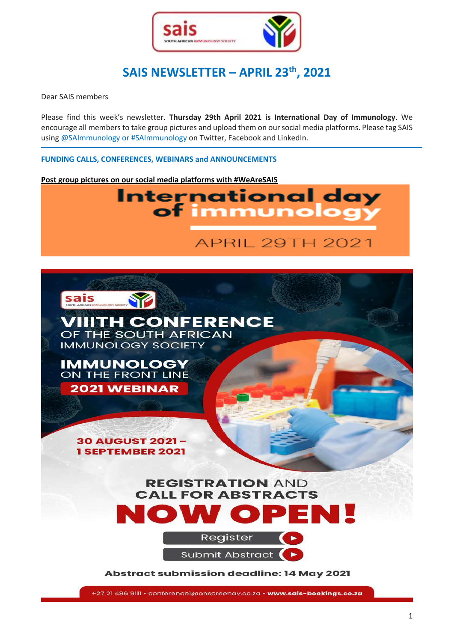

# **SAIS NEWSLETTER – APRIL 23th , 2021**

Dear SAIS members

Please find this week's newsletter. **Thursday 29th April 2021 is International Day of Immunology**. We encourage all members to take group pictures and upload them on our social media platforms. Please tag SAIS using @SAImmunology or #SAImmunology on Twitter, Facebook and LinkedIn.

**FUNDING CALLS, CONFERENCES, WEBINARS and ANNOUNCEMENTS**

**Post group pictures on our social media platforms with #WeAreSAIS**





**Abstract submission deadline: 14 May 2021** 

+27 21 486 9111 · conference1@onscreenav.co.za · www.sais-bookings.co.za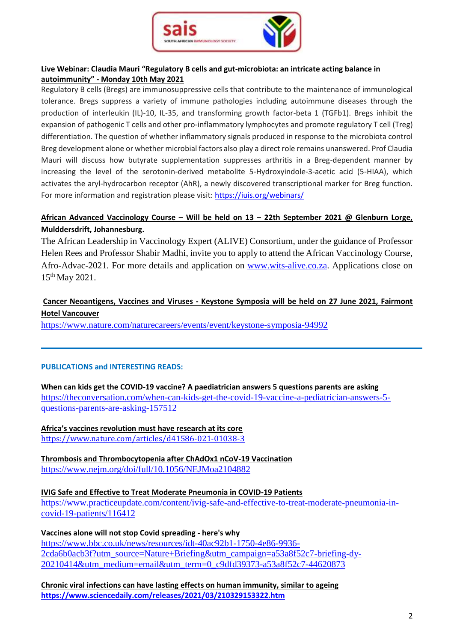

## **Live Webinar: Claudia Mauri "Regulatory B cells and gut-microbiota: an intricate acting balance in autoimmunity" - Monday 10th May 2021**

Regulatory B cells (Bregs) are immunosuppressive cells that contribute to the maintenance of immunological tolerance. Bregs suppress a variety of immune pathologies including autoimmune diseases through the production of interleukin (IL)-10, IL-35, and transforming growth factor-beta 1 (TGFb1). Bregs inhibit the expansion of pathogenic T cells and other pro-inflammatory lymphocytes and promote regulatory T cell (Treg) differentiation. The question of whether inflammatory signals produced in response to the microbiota control Breg development alone or whether microbial factors also play a direct role remains unanswered. Prof Claudia Mauri will discuss how butyrate supplementation suppresses arthritis in a Breg-dependent manner by increasing the level of the serotonin-derived metabolite 5-Hydroxyindole-3-acetic acid (5-HIAA), which activates the aryl-hydrocarbon receptor (AhR), a newly discovered transcriptional marker for Breg function. For more information and registration please visit: <https://iuis.org/webinars/>

# **African Advanced Vaccinology Course – Will be held on 13 – 22th September 2021 @ Glenburn Lorge, Mulddersdrift, Johannesburg.**

The African Leadership in Vaccinology Expert (ALIVE) Consortium, under the guidance of Professor Helen Rees and Professor Shabir Madhi, invite you to apply to attend the African Vaccinology Course, Afro-Advac-2021. For more details and application on [www.wits-alive.co.za.](http://www.wits-alive.co.za/) Applications close on 15th May 2021.

# **Cancer Neoantigens, Vaccines and Viruses - Keystone Symposia will be held on 27 June 2021, Fairmont Hotel Vancouver**

<https://www.nature.com/naturecareers/events/event/keystone-symposia-94992>

#### **PUBLICATIONS and INTERESTING READS:**

**When can kids get the COVID-19 vaccine? A paediatrician answers 5 questions parents are asking** [https://theconversation.com/when-can-kids-get-the-covid-19-vaccine-a-pediatrician-answers-5](https://theconversation.com/when-can-kids-get-the-covid-19-vaccine-a-pediatrician-answers-5-questions-parents-are-asking-157512) [questions-parents-are-asking-157512](https://theconversation.com/when-can-kids-get-the-covid-19-vaccine-a-pediatrician-answers-5-questions-parents-are-asking-157512)

**Africa's vaccines revolution must have research at its core** <https://www.nature.com/articles/d41586-021-01038-3>

**Thrombosis and Thrombocytopenia after ChAdOx1 nCoV-19 Vaccination** <https://www.nejm.org/doi/full/10.1056/NEJMoa2104882>

**IVIG Safe and Effective to Treat Moderate Pneumonia in COVID-19 Patients** [https://www.practiceupdate.com/content/ivig-safe-and-effective-to-treat-moderate-pneumonia-in](https://www.practiceupdate.com/content/ivig-safe-and-effective-to-treat-moderate-pneumonia-in-covid-19-patients/116412)[covid-19-patients/116412](https://www.practiceupdate.com/content/ivig-safe-and-effective-to-treat-moderate-pneumonia-in-covid-19-patients/116412)

**Vaccines alone will not stop Covid spreading - here's why** [https://www.bbc.co.uk/news/resources/idt-40ac92b1-1750-4e86-9936-](https://www.bbc.co.uk/news/resources/idt-40ac92b1-1750-4e86-9936-2cda6b0acb3f?utm_source=Nature+Briefing&utm_campaign=a53a8f52c7-briefing-dy-20210414&utm_medium=email&utm_term=0_c9dfd39373-a53a8f52c7-44620873) [2cda6b0acb3f?utm\\_source=Nature+Briefing&utm\\_campaign=a53a8f52c7-briefing-dy-](https://www.bbc.co.uk/news/resources/idt-40ac92b1-1750-4e86-9936-2cda6b0acb3f?utm_source=Nature+Briefing&utm_campaign=a53a8f52c7-briefing-dy-20210414&utm_medium=email&utm_term=0_c9dfd39373-a53a8f52c7-44620873)[20210414&utm\\_medium=email&utm\\_term=0\\_c9dfd39373-a53a8f52c7-44620873](https://www.bbc.co.uk/news/resources/idt-40ac92b1-1750-4e86-9936-2cda6b0acb3f?utm_source=Nature+Briefing&utm_campaign=a53a8f52c7-briefing-dy-20210414&utm_medium=email&utm_term=0_c9dfd39373-a53a8f52c7-44620873)

**Chronic viral infections can have lasting effects on human immunity, similar to ageing <https://www.sciencedaily.com/releases/2021/03/210329153322.htm>**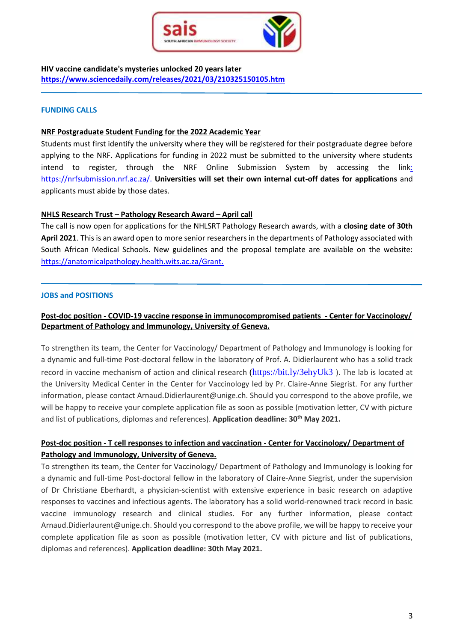

**HIV vaccine candidate's mysteries unlocked 20 years later <https://www.sciencedaily.com/releases/2021/03/210325150105.htm>**

#### **FUNDING CALLS**

#### **NRF Postgraduate Student Funding for the 2022 Academic Year**

Students must first identify the university where they will be registered for their postgraduate degree before applying to the NRF. Applications for funding in 2022 must be submitted to the university where students intend to register, through the NRF Online Submission System by accessing the link: https://nrfsubmission.nrf.ac.za/. **Universities will set their own internal cut-off dates for applications** and applicants must abide by those dates.

#### **NHLS Research Trust – Pathology Research Award – April call**

The call is now open for applications for the NHLSRT Pathology Research awards, with a **closing date of 30th April 2021**. This is an award open to more senior researchers in the departments of Pathology associated with South African Medical Schools. New guidelines and the proposal template are available on the website: https://anatomicalpathology.health.wits.ac.za/Grant.

#### **JOBS and POSITIONS**

### **Post-doc position - COVID-19 vaccine response in immunocompromised patients - Center for Vaccinology/ Department of Pathology and Immunology, University of Geneva.**

To strengthen its team, the Center for Vaccinology/ Department of Pathology and Immunology is looking for a dynamic and full-time Post-doctoral fellow in the laboratory of Prof. A. Didierlaurent who has a solid track record in vaccine mechanism of action and clinical research [\(https://bit.ly/3ehyUk3](https://bit.ly/3ehyUk3) ). The lab is located at the University Medical Center in the Center for Vaccinology led by Pr. Claire-Anne Siegrist. For any further information, please contact Arnaud.Didierlaurent@unige.ch. Should you correspond to the above profile, we will be happy to receive your complete application file as soon as possible (motivation letter, CV with picture and list of publications, diplomas and references). **Application deadline: 30th May 2021.**

## **Post-doc position - T cell responses to infection and vaccination - Center for Vaccinology/ Department of Pathology and Immunology, University of Geneva.**

To strengthen its team, the Center for Vaccinology/ Department of Pathology and Immunology is looking for a dynamic and full-time Post-doctoral fellow in the laboratory of Claire-Anne Siegrist, under the supervision of Dr Christiane Eberhardt, a physician-scientist with extensive experience in basic research on adaptive responses to vaccines and infectious agents. The laboratory has a solid world-renowned track record in basic vaccine immunology research and clinical studies. For any further information, please contact Arnaud.Didierlaurent@unige.ch. Should you correspond to the above profile, we will be happy to receive your complete application file as soon as possible (motivation letter, CV with picture and list of publications, diplomas and references). **Application deadline: 30th May 2021.**